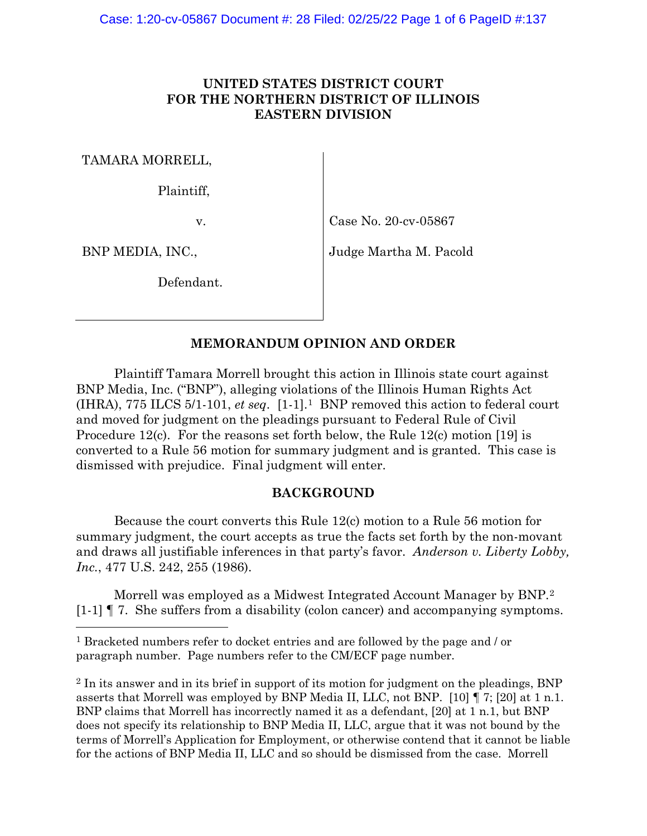# **UNITED STATES DISTRICT COURT FOR THE NORTHERN DISTRICT OF ILLINOIS EASTERN DIVISION**

TAMARA MORRELL,

Plaintiff,

v.

Case No. 20-cv-05867

BNP MEDIA, INC.,

Defendant.

Judge Martha M. Pacold

# **MEMORANDUM OPINION AND ORDER**

Plaintiff Tamara Morrell brought this action in Illinois state court against BNP Media, Inc. ("BNP"), alleging violations of the Illinois Human Rights Act (IHRA), 775 ILCS 5/1-101, *et seq*. [1-1][.1](#page-0-0) BNP removed this action to federal court and moved for judgment on the pleadings pursuant to Federal Rule of Civil Procedure 12(c). For the reasons set forth below, the Rule 12(c) motion [19] is converted to a Rule 56 motion for summary judgment and is granted. This case is dismissed with prejudice. Final judgment will enter.

# **BACKGROUND**

Because the court converts this Rule 12(c) motion to a Rule 56 motion for summary judgment, the court accepts as true the facts set forth by the non-movant and draws all justifiable inferences in that party's favor. *Anderson v. Liberty Lobby, Inc.*, 477 U.S. 242, 255 (1986).

Morrell was employed as a Midwest Integrated Account Manager by BNP.[2](#page-0-1)  [1-1] ¶ 7. She suffers from a disability (colon cancer) and accompanying symptoms.

<span id="page-0-0"></span><sup>1</sup> Bracketed numbers refer to docket entries and are followed by the page and / or paragraph number. Page numbers refer to the CM/ECF page number.

<span id="page-0-1"></span><sup>2</sup> In its answer and in its brief in support of its motion for judgment on the pleadings, BNP asserts that Morrell was employed by BNP Media II, LLC, not BNP. [10] ¶ 7; [20] at 1 n.1. BNP claims that Morrell has incorrectly named it as a defendant, [20] at 1 n.1, but BNP does not specify its relationship to BNP Media II, LLC, argue that it was not bound by the terms of Morrell's Application for Employment, or otherwise contend that it cannot be liable for the actions of BNP Media II, LLC and so should be dismissed from the case. Morrell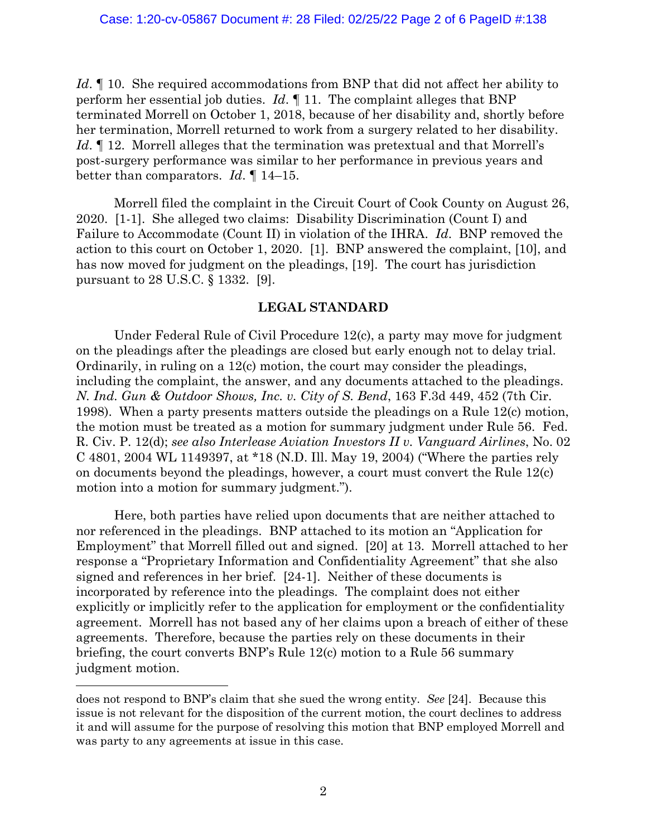*Id.* 10. She required accommodations from BNP that did not affect her ability to perform her essential job duties. *Id*. ¶ 11. The complaint alleges that BNP terminated Morrell on October 1, 2018, because of her disability and, shortly before her termination, Morrell returned to work from a surgery related to her disability. *Id.* 12. Morrell alleges that the termination was pretextual and that Morrell's post-surgery performance was similar to her performance in previous years and better than comparators. *Id*. ¶ 14–15.

Morrell filed the complaint in the Circuit Court of Cook County on August 26, 2020. [1-1]. She alleged two claims: Disability Discrimination (Count I) and Failure to Accommodate (Count II) in violation of the IHRA. *Id*. BNP removed the action to this court on October 1, 2020. [1]. BNP answered the complaint, [10], and has now moved for judgment on the pleadings, [19]. The court has jurisdiction pursuant to 28 U.S.C. § 1332. [9].

### **LEGAL STANDARD**

Under Federal Rule of Civil Procedure 12(c), a party may move for judgment on the pleadings after the pleadings are closed but early enough not to delay trial. Ordinarily, in ruling on a 12(c) motion, the court may consider the pleadings, including the complaint, the answer, and any documents attached to the pleadings. *N. Ind. Gun & Outdoor Shows, Inc. v. City of S. Bend*, 163 F.3d 449, 452 (7th Cir. 1998). When a party presents matters outside the pleadings on a Rule 12(c) motion, the motion must be treated as a motion for summary judgment under Rule 56. Fed. R. Civ. P. 12(d); *see also Interlease Aviation Investors II v. Vanguard Airlines*, No. 02 C 4801, 2004 WL 1149397, at \*18 (N.D. Ill. May 19, 2004) ("Where the parties rely on documents beyond the pleadings, however, a court must convert the Rule 12(c) motion into a motion for summary judgment.").

Here, both parties have relied upon documents that are neither attached to nor referenced in the pleadings. BNP attached to its motion an "Application for Employment" that Morrell filled out and signed. [20] at 13. Morrell attached to her response a "Proprietary Information and Confidentiality Agreement" that she also signed and references in her brief. [24-1]. Neither of these documents is incorporated by reference into the pleadings. The complaint does not either explicitly or implicitly refer to the application for employment or the confidentiality agreement. Morrell has not based any of her claims upon a breach of either of these agreements. Therefore, because the parties rely on these documents in their briefing, the court converts BNP's Rule 12(c) motion to a Rule 56 summary judgment motion.

does not respond to BNP's claim that she sued the wrong entity. *See* [24]. Because this issue is not relevant for the disposition of the current motion, the court declines to address it and will assume for the purpose of resolving this motion that BNP employed Morrell and was party to any agreements at issue in this case.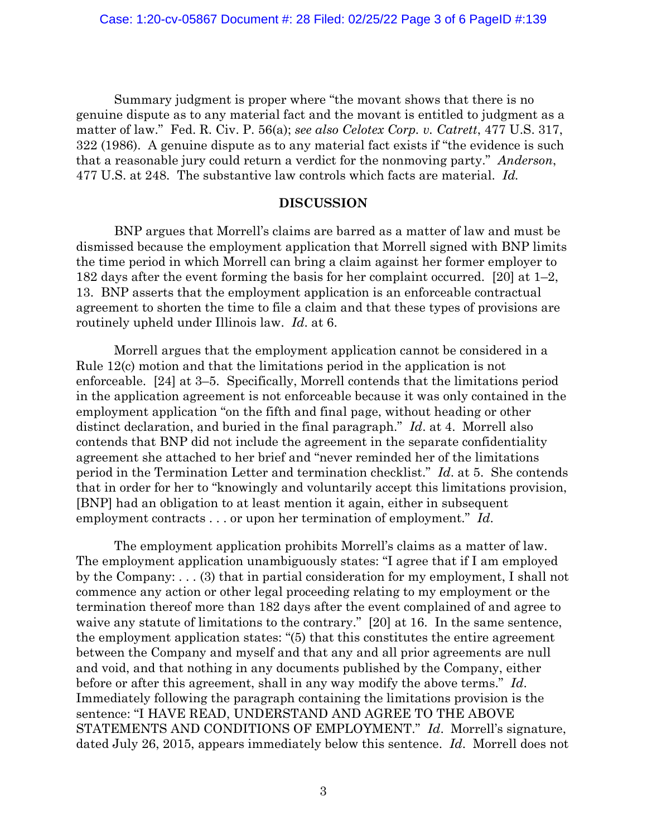Summary judgment is proper where "the movant shows that there is no genuine dispute as to any material fact and the movant is entitled to judgment as a matter of law." Fed. R. Civ. P. 56(a); *see also Celotex Corp. v. Catrett*, 477 U.S. 317, 322 (1986). A genuine dispute as to any material fact exists if "the evidence is such that a reasonable jury could return a verdict for the nonmoving party." *Anderson*, 477 U.S. at 248. The substantive law controls which facts are material. *Id.*

### **DISCUSSION**

BNP argues that Morrell's claims are barred as a matter of law and must be dismissed because the employment application that Morrell signed with BNP limits the time period in which Morrell can bring a claim against her former employer to 182 days after the event forming the basis for her complaint occurred. [20] at 1–2, 13. BNP asserts that the employment application is an enforceable contractual agreement to shorten the time to file a claim and that these types of provisions are routinely upheld under Illinois law. *Id*. at 6.

Morrell argues that the employment application cannot be considered in a Rule 12(c) motion and that the limitations period in the application is not enforceable. [24] at 3–5. Specifically, Morrell contends that the limitations period in the application agreement is not enforceable because it was only contained in the employment application "on the fifth and final page, without heading or other distinct declaration, and buried in the final paragraph." *Id*. at 4. Morrell also contends that BNP did not include the agreement in the separate confidentiality agreement she attached to her brief and "never reminded her of the limitations period in the Termination Letter and termination checklist." *Id*. at 5. She contends that in order for her to "knowingly and voluntarily accept this limitations provision, [BNP] had an obligation to at least mention it again, either in subsequent employment contracts . . . or upon her termination of employment." *Id*.

The employment application prohibits Morrell's claims as a matter of law. The employment application unambiguously states: "I agree that if I am employed by the Company: . . . (3) that in partial consideration for my employment, I shall not commence any action or other legal proceeding relating to my employment or the termination thereof more than 182 days after the event complained of and agree to waive any statute of limitations to the contrary." [20] at 16. In the same sentence, the employment application states: "(5) that this constitutes the entire agreement between the Company and myself and that any and all prior agreements are null and void, and that nothing in any documents published by the Company, either before or after this agreement, shall in any way modify the above terms." *Id*. Immediately following the paragraph containing the limitations provision is the sentence: "I HAVE READ, UNDERSTAND AND AGREE TO THE ABOVE STATEMENTS AND CONDITIONS OF EMPLOYMENT." *Id*. Morrell's signature, dated July 26, 2015, appears immediately below this sentence. *Id*. Morrell does not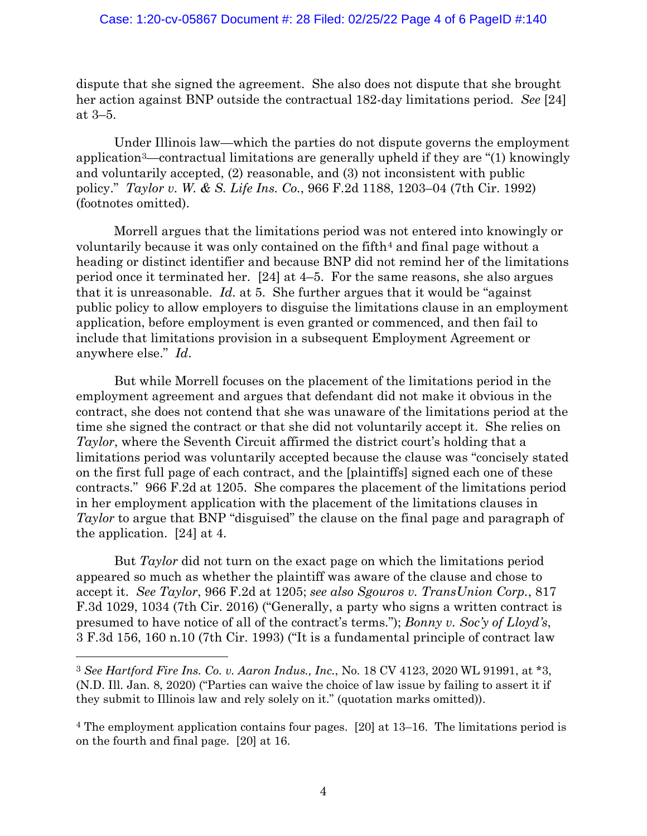#### Case: 1:20-cv-05867 Document #: 28 Filed: 02/25/22 Page 4 of 6 PageID #:140

dispute that she signed the agreement. She also does not dispute that she brought her action against BNP outside the contractual 182-day limitations period. *See* [24] at 3–5.

Under Illinois law—which the parties do not dispute governs the employment application[3—](#page-3-0)contractual limitations are generally upheld if they are "(1) knowingly and voluntarily accepted, (2) reasonable, and (3) not inconsistent with public policy." *Taylor v. W. & S. Life Ins. Co.*, 966 F.2d 1188, 1203–04 (7th Cir. 1992) (footnotes omitted).

Morrell argues that the limitations period was not entered into knowingly or voluntarily because it was only contained on the fifth<sup>[4](#page-3-1)</sup> and final page without a heading or distinct identifier and because BNP did not remind her of the limitations period once it terminated her. [24] at 4–5. For the same reasons, she also argues that it is unreasonable. *Id.* at 5. She further argues that it would be "against public policy to allow employers to disguise the limitations clause in an employment application, before employment is even granted or commenced, and then fail to include that limitations provision in a subsequent Employment Agreement or anywhere else." *Id*.

But while Morrell focuses on the placement of the limitations period in the employment agreement and argues that defendant did not make it obvious in the contract, she does not contend that she was unaware of the limitations period at the time she signed the contract or that she did not voluntarily accept it. She relies on *Taylor*, where the Seventh Circuit affirmed the district court's holding that a limitations period was voluntarily accepted because the clause was "concisely stated on the first full page of each contract, and the [plaintiffs] signed each one of these contracts." 966 F.2d at 1205. She compares the placement of the limitations period in her employment application with the placement of the limitations clauses in *Taylor* to argue that BNP "disguised" the clause on the final page and paragraph of the application. [24] at 4.

But *Taylor* did not turn on the exact page on which the limitations period appeared so much as whether the plaintiff was aware of the clause and chose to accept it. *See Taylor*, 966 F.2d at 1205; *see also Sgouros v. TransUnion Corp.*, 817 F.3d 1029, 1034 (7th Cir. 2016) ("Generally, a party who signs a written contract is presumed to have notice of all of the contract's terms."); *Bonny v. Soc'y of Lloyd's*, 3 F.3d 156, 160 n.10 (7th Cir. 1993) ("It is a fundamental principle of contract law

<span id="page-3-0"></span><sup>3</sup> *See Hartford Fire Ins. Co. v. Aaron Indus., Inc.*, No. 18 CV 4123, 2020 WL 91991, at \*3, (N.D. Ill. Jan. 8, 2020) ("Parties can waive the choice of law issue by failing to assert it if they submit to Illinois law and rely solely on it." (quotation marks omitted)).

<span id="page-3-1"></span><sup>4</sup> The employment application contains four pages. [20] at 13–16. The limitations period is on the fourth and final page. [20] at 16.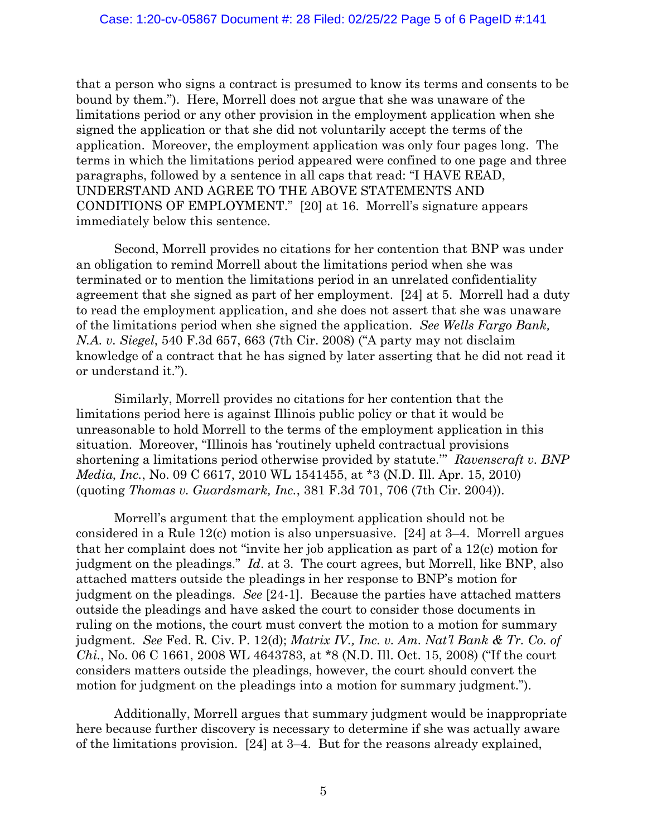that a person who signs a contract is presumed to know its terms and consents to be bound by them."). Here, Morrell does not argue that she was unaware of the limitations period or any other provision in the employment application when she signed the application or that she did not voluntarily accept the terms of the application. Moreover, the employment application was only four pages long. The terms in which the limitations period appeared were confined to one page and three paragraphs, followed by a sentence in all caps that read: "I HAVE READ, UNDERSTAND AND AGREE TO THE ABOVE STATEMENTS AND CONDITIONS OF EMPLOYMENT." [20] at 16. Morrell's signature appears immediately below this sentence.

Second, Morrell provides no citations for her contention that BNP was under an obligation to remind Morrell about the limitations period when she was terminated or to mention the limitations period in an unrelated confidentiality agreement that she signed as part of her employment. [24] at 5. Morrell had a duty to read the employment application, and she does not assert that she was unaware of the limitations period when she signed the application. *See Wells Fargo Bank, N.A. v. Siegel*, 540 F.3d 657, 663 (7th Cir. 2008) ("A party may not disclaim knowledge of a contract that he has signed by later asserting that he did not read it or understand it.").

Similarly, Morrell provides no citations for her contention that the limitations period here is against Illinois public policy or that it would be unreasonable to hold Morrell to the terms of the employment application in this situation. Moreover, "Illinois has 'routinely upheld contractual provisions shortening a limitations period otherwise provided by statute.'" *Ravenscraft v. BNP Media, Inc.*, No. 09 C 6617, 2010 WL 1541455, at \*3 (N.D. Ill. Apr. 15, 2010) (quoting *Thomas v. Guardsmark, Inc.*, 381 F.3d 701, 706 (7th Cir. 2004)).

Morrell's argument that the employment application should not be considered in a Rule 12(c) motion is also unpersuasive. [24] at 3–4. Morrell argues that her complaint does not "invite her job application as part of a 12(c) motion for judgment on the pleadings." *Id*. at 3. The court agrees, but Morrell, like BNP, also attached matters outside the pleadings in her response to BNP's motion for judgment on the pleadings. *See* [24-1]. Because the parties have attached matters outside the pleadings and have asked the court to consider those documents in ruling on the motions, the court must convert the motion to a motion for summary judgment. *See* Fed. R. Civ. P. 12(d); *Matrix IV., Inc. v. Am. Nat'l Bank & Tr. Co. of Chi.*, No. 06 C 1661, 2008 WL 4643783, at \*8 (N.D. Ill. Oct. 15, 2008) ("If the court considers matters outside the pleadings, however, the court should convert the motion for judgment on the pleadings into a motion for summary judgment.").

Additionally, Morrell argues that summary judgment would be inappropriate here because further discovery is necessary to determine if she was actually aware of the limitations provision. [24] at 3–4. But for the reasons already explained,